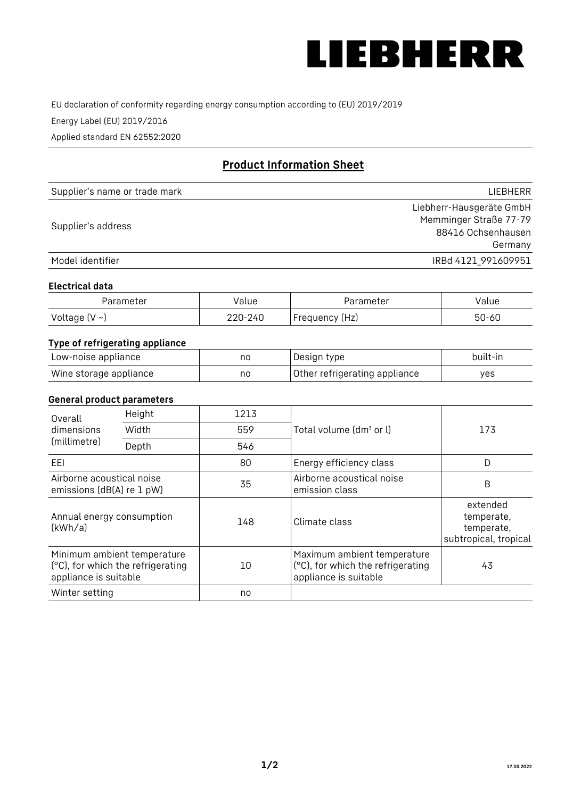

EU declaration of conformity regarding energy consumption according to (EU) 2019/2019

Energy Label (EU) 2019/2016

Applied standard EN 62552:2020

# **Product Information Sheet**

| Supplier's name or trade mark | <b>LIFBHFRR</b>          |
|-------------------------------|--------------------------|
|                               | Liebherr-Hausgeräte GmbH |
| Supplier's address            | Memminger Straße 77-79   |
|                               | 88416 Ochsenhausen       |
|                               | Germany                  |
| Model identifier              | IRBd 4121 991609951      |

## **Electrical data**

| Parameter           | Value   | Parameter      | alue/     |
|---------------------|---------|----------------|-----------|
| Voltage (V $\sim$ ) | 220-240 | Frequency (Hz) | $50 - 60$ |

# **Type of refrigerating appliance**

| Low-noise appliance    | no | Design type                   | built-in |
|------------------------|----|-------------------------------|----------|
| Wine storage appliance | nc | Other refrigerating appliance | ves      |

# **General product parameters**

| Overall<br>dimensions<br>Width<br>(millimetre)<br>Depth | Height                                                           | 1213 |                                                                                           |                                                               |  |
|---------------------------------------------------------|------------------------------------------------------------------|------|-------------------------------------------------------------------------------------------|---------------------------------------------------------------|--|
|                                                         |                                                                  | 559  | Total volume (dm <sup>3</sup> or l)                                                       | 173                                                           |  |
|                                                         |                                                                  | 546  |                                                                                           |                                                               |  |
| EEL                                                     |                                                                  | 80   | Energy efficiency class                                                                   | D                                                             |  |
| Airborne acoustical noise<br>emissions (dB(A) re 1 pW)  |                                                                  | 35   | Airborne acoustical noise<br>emission class                                               | B                                                             |  |
| Annual energy consumption<br>(kWh/a)                    |                                                                  | 148  | Climate class                                                                             | extended<br>temperate,<br>temperate,<br>subtropical, tropical |  |
| appliance is suitable                                   | Minimum ambient temperature<br>(°C), for which the refrigerating | 10   | Maximum ambient temperature<br>(°C), for which the refrigerating<br>appliance is suitable | 43                                                            |  |
| Winter setting                                          |                                                                  | no   |                                                                                           |                                                               |  |